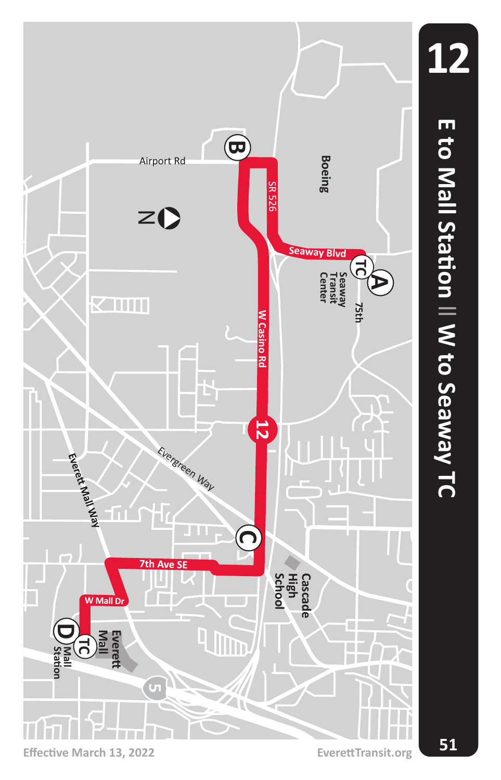

**Effective March 13, 2022 EverettTransit.org**

**51**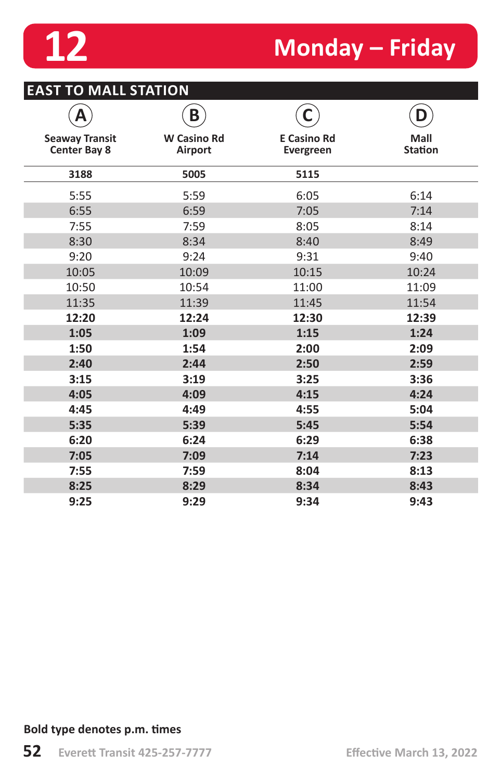

# **12 Monday – Friday**

|                                              | B                             |                                        | n                      |
|----------------------------------------------|-------------------------------|----------------------------------------|------------------------|
| <b>Seaway Transit</b><br><b>Center Bay 8</b> | <b>W</b> Casino Rd<br>Airport | <b>E Casino Rd</b><br><b>Evergreen</b> | Mall<br><b>Station</b> |
| 3188                                         | 5005                          | 5115                                   |                        |
| 5:55                                         | 5:59                          | 6:05                                   | 6:14                   |
| 6:55                                         | 6:59                          | 7:05                                   | 7:14                   |
| 7:55                                         | 7:59                          | 8:05                                   | 8:14                   |
| 8:30                                         | 8:34                          | 8:40                                   | 8:49                   |
| 9:20                                         | 9:24                          | 9:31                                   | 9:40                   |
| 10:05                                        | 10:09                         | 10:15                                  | 10:24                  |
| 10:50                                        | 10:54                         | 11:00                                  | 11:09                  |
| 11:35                                        | 11:39                         | 11:45                                  | 11:54                  |
| 12:20                                        | 12:24                         | 12:30                                  | 12:39                  |
| 1:05                                         | 1:09                          | 1:15                                   | 1:24                   |
| 1:50                                         | 1:54                          | 2:00                                   | 2:09                   |
| 2:40                                         | 2:44                          | 2:50                                   | 2:59                   |
| 3:15                                         | 3:19                          | 3:25                                   | 3:36                   |
| 4:05                                         | 4:09                          | 4:15                                   | 4:24                   |
| 4:45                                         | 4:49                          | 4:55                                   | 5:04                   |
| 5:35                                         | 5:39                          | 5:45                                   | 5:54                   |
| 6:20                                         | 6:24                          | 6:29                                   | 6:38                   |
| 7:05                                         | 7:09                          | 7:14                                   | 7:23                   |
| 7:55                                         | 7:59                          | 8:04                                   | 8:13                   |
| 8:25                                         | 8:29                          | 8:34                                   | 8:43                   |
| 9:25                                         | 9:29                          | 9:34                                   | 9:43                   |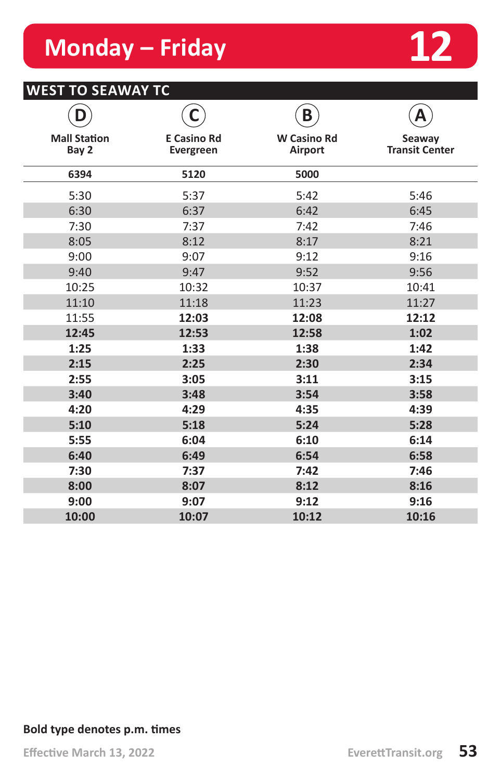## **Monday – Friday 12**



#### **WEST TO SEAWAY TC**

| D                            | С                               | B                             | Α                               |
|------------------------------|---------------------------------|-------------------------------|---------------------------------|
| <b>Mall Station</b><br>Bay 2 | <b>E Casino Rd</b><br>Evergreen | <b>W</b> Casino Rd<br>Airport | Seaway<br><b>Transit Center</b> |
| 6394                         | 5120                            | 5000                          |                                 |
| 5:30                         | 5:37                            | 5:42                          | 5:46                            |
| 6:30                         | 6:37                            | 6:42                          | 6:45                            |
| 7:30                         | 7:37                            | 7:42                          | 7:46                            |
| 8:05                         | 8:12                            | 8:17                          | 8:21                            |
| 9:00                         | 9:07                            | 9:12                          | 9:16                            |
| 9:40                         | 9:47                            | 9:52                          | 9:56                            |
| 10:25                        | 10:32                           | 10:37                         | 10:41                           |
| 11:10                        | 11:18                           | 11:23                         | 11:27                           |
| 11:55                        | 12:03                           | 12:08                         | 12:12                           |
| 12:45                        | 12:53                           | 12:58                         | 1:02                            |
| 1:25                         | 1:33                            | 1:38                          | 1:42                            |
| 2:15                         | 2:25                            | 2:30                          | 2:34                            |
| 2:55                         | 3:05                            | 3:11                          | 3:15                            |
| 3:40                         | 3:48                            | 3:54                          | 3:58                            |
| 4:20                         | 4:29                            | 4:35                          | 4:39                            |
| 5:10                         | 5:18                            | 5:24                          | 5:28                            |
| 5:55                         | 6:04                            | 6:10                          | 6:14                            |
| 6:40                         | 6:49                            | 6:54                          | 6:58                            |
| 7:30                         | 7:37                            | 7:42                          | 7:46                            |
| 8:00                         | 8:07                            | 8:12                          | 8:16                            |
| 9:00                         | 9:07                            | 9:12                          | 9:16                            |
| 10:00                        | 10:07                           | 10:12                         | 10:16                           |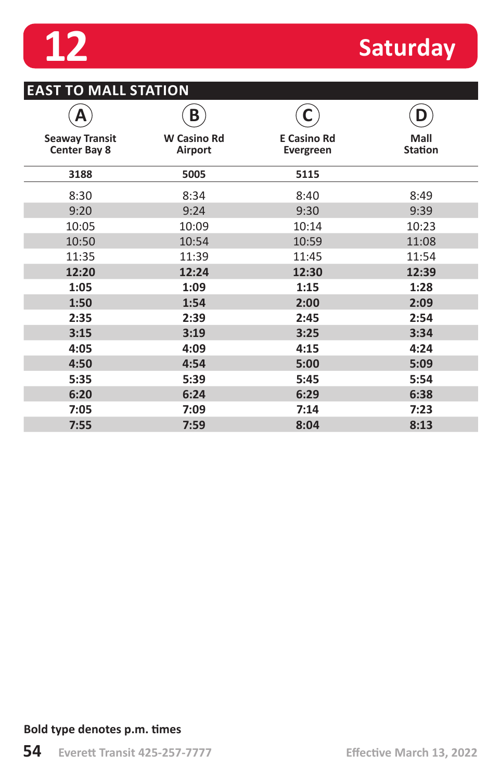

## **12** Saturday

#### **EAST TO MALL STATION**

|                                              | B                             |                                 | D                      |
|----------------------------------------------|-------------------------------|---------------------------------|------------------------|
| <b>Seaway Transit</b><br><b>Center Bay 8</b> | <b>W</b> Casino Rd<br>Airport | <b>E</b> Casino Rd<br>Evergreen | Mall<br><b>Station</b> |
| 3188                                         | 5005                          | 5115                            |                        |
| 8:30                                         | 8:34                          | 8:40                            | 8:49                   |
| 9:20                                         | 9:24                          | 9:30                            | 9:39                   |
| 10:05                                        | 10:09                         | 10:14                           | 10:23                  |
| 10:50                                        | 10:54                         | 10:59                           | 11:08                  |
| 11:35                                        | 11:39                         | 11:45                           | 11:54                  |
| 12:20                                        | 12:24                         | 12:30                           | 12:39                  |
| 1:05                                         | 1:09                          | 1:15                            | 1:28                   |
| 1:50                                         | 1:54                          | 2:00                            | 2:09                   |
| 2:35                                         | 2:39                          | 2:45                            | 2:54                   |
| 3:15                                         | 3:19                          | 3:25                            | 3:34                   |
| 4:05                                         | 4:09                          | 4:15                            | 4:24                   |
| 4:50                                         | 4:54                          | 5:00                            | 5:09                   |
| 5:35                                         | 5:39                          | 5:45                            | 5:54                   |
| 6:20                                         | 6:24                          | 6:29                            | 6:38                   |
| 7:05                                         | 7:09                          | 7:14                            | 7:23                   |
| 7:55                                         | 7:59                          | 8:04                            | 8:13                   |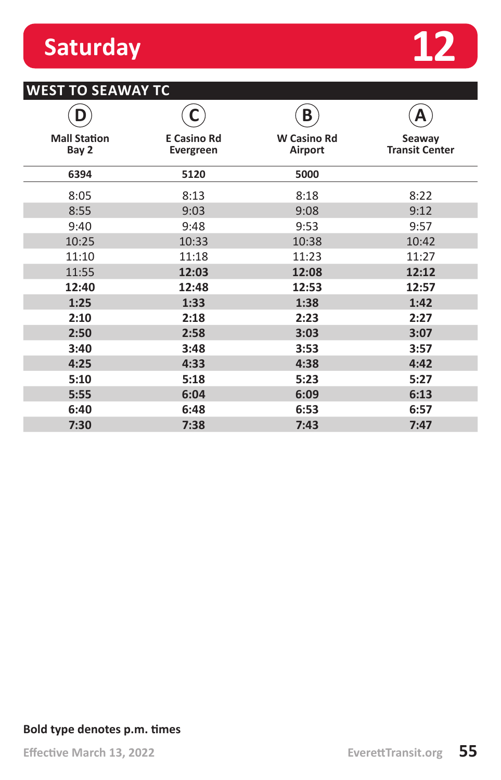### **Saturday**



#### **WEST TO SEAWAY TC**

|                              |                                        | B                             | А                               |
|------------------------------|----------------------------------------|-------------------------------|---------------------------------|
| <b>Mall Station</b><br>Bay 2 | <b>E Casino Rd</b><br><b>Evergreen</b> | <b>W Casino Rd</b><br>Airport | Seaway<br><b>Transit Center</b> |
| 6394                         | 5120                                   | 5000                          |                                 |
| 8:05                         | 8:13                                   | 8:18                          | 8:22                            |
| 8:55                         | 9:03                                   | 9:08                          | 9:12                            |
| 9:40                         | 9:48                                   | 9:53                          | 9:57                            |
| 10:25                        | 10:33                                  | 10:38                         | 10:42                           |
| 11:10                        | 11:18                                  | 11:23                         | 11:27                           |
| 11:55                        | 12:03                                  | 12:08                         | 12:12                           |
| 12:40                        | 12:48                                  | 12:53                         | 12:57                           |
| 1:25                         | 1:33                                   | 1:38                          | 1:42                            |
| 2:10                         | 2:18                                   | 2:23                          | 2:27                            |
| 2:50                         | 2:58                                   | 3:03                          | 3:07                            |
| 3:40                         | 3:48                                   | 3:53                          | 3:57                            |
| 4:25                         | 4:33                                   | 4:38                          | 4:42                            |
| 5:10                         | 5:18                                   | 5:23                          | 5:27                            |
| 5:55                         | 6:04                                   | 6:09                          | 6:13                            |
| 6:40                         | 6:48                                   | 6:53                          | 6:57                            |
| 7:30                         | 7:38                                   | 7:43                          | 7:47                            |